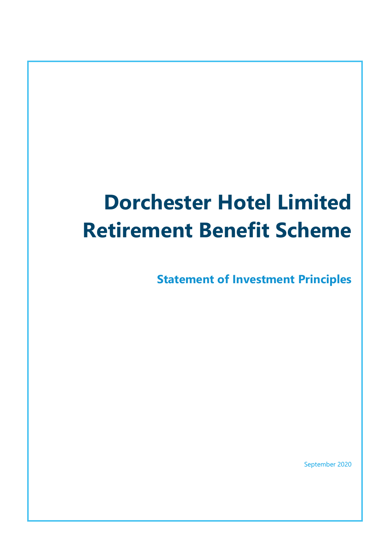# **Dorchester Hotel Limited Retirement Benefit Scheme**

**Statement of Investment Principles**

September 2020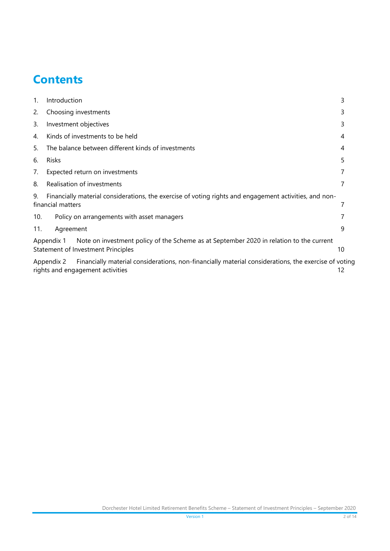# **Contents**

| 1.  | Introduction                                                                                                                | 3  |  |  |  |
|-----|-----------------------------------------------------------------------------------------------------------------------------|----|--|--|--|
| 2.  | Choosing investments                                                                                                        |    |  |  |  |
| 3.  | Investment objectives                                                                                                       |    |  |  |  |
| 4.  | Kinds of investments to be held                                                                                             |    |  |  |  |
| 5.  | The balance between different kinds of investments                                                                          |    |  |  |  |
| 6.  | Risks                                                                                                                       |    |  |  |  |
| 7.  | Expected return on investments                                                                                              |    |  |  |  |
| 8.  | Realisation of investments                                                                                                  |    |  |  |  |
| 9.  | Financially material considerations, the exercise of voting rights and engagement activities, and non-<br>financial matters |    |  |  |  |
| 10. | Policy on arrangements with asset managers                                                                                  |    |  |  |  |
| 11. | Agreement                                                                                                                   | 9  |  |  |  |
|     | Note on investment policy of the Scheme as at September 2020 in relation to the current<br>Appendix 1                       |    |  |  |  |
|     | Statement of Investment Principles                                                                                          | 10 |  |  |  |
|     | Financially material considerations, non-financially material considerations, the exercise of voting<br>Appendix 2          | 12 |  |  |  |
|     | rights and engagement activities                                                                                            |    |  |  |  |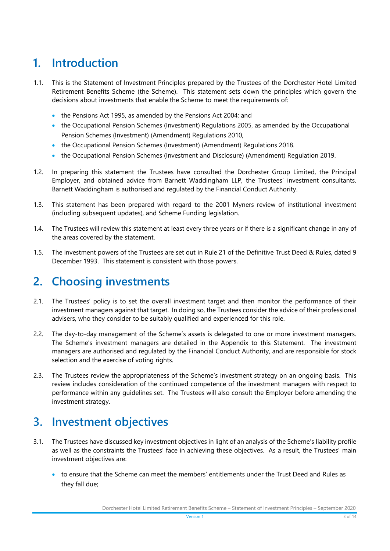# <span id="page-2-0"></span>**1. Introduction**

- 1.1. This is the Statement of Investment Principles prepared by the Trustees of the Dorchester Hotel Limited Retirement Benefits Scheme (the Scheme). This statement sets down the principles which govern the decisions about investments that enable the Scheme to meet the requirements of:
	- the Pensions Act 1995, as amended by the Pensions Act 2004; and
	- the Occupational Pension Schemes (Investment) Regulations 2005, as amended by the Occupational Pension Schemes (Investment) (Amendment) Regulations 2010,
	- the Occupational Pension Schemes (Investment) (Amendment) Regulations 2018.
	- the Occupational Pension Schemes (Investment and Disclosure) (Amendment) Regulation 2019.
- 1.2. In preparing this statement the Trustees have consulted the Dorchester Group Limited, the Principal Employer, and obtained advice from Barnett Waddingham LLP, the Trustees' investment consultants. Barnett Waddingham is authorised and regulated by the Financial Conduct Authority.
- 1.3. This statement has been prepared with regard to the 2001 Myners review of institutional investment (including subsequent updates), and Scheme Funding legislation.
- 1.4. The Trustees will review this statement at least every three years or if there is a significant change in any of the areas covered by the statement.
- 1.5. The investment powers of the Trustees are set out in Rule 21 of the Definitive Trust Deed & Rules, dated 9 December 1993. This statement is consistent with those powers.

## <span id="page-2-1"></span>**2. Choosing investments**

- 2.1. The Trustees' policy is to set the overall investment target and then monitor the performance of their investment managers against that target. In doing so, the Trustees consider the advice of their professional advisers, who they consider to be suitably qualified and experienced for this role.
- 2.2. The day-to-day management of the Scheme's assets is delegated to one or more investment managers. The Scheme's investment managers are detailed in the Appendix to this Statement. The investment managers are authorised and regulated by the Financial Conduct Authority, and are responsible for stock selection and the exercise of voting rights.
- 2.3. The Trustees review the appropriateness of the Scheme's investment strategy on an ongoing basis. This review includes consideration of the continued competence of the investment managers with respect to performance within any guidelines set. The Trustees will also consult the Employer before amending the investment strategy.

## <span id="page-2-2"></span>**3. Investment objectives**

- 3.1. The Trustees have discussed key investment objectives in light of an analysis of the Scheme's liability profile as well as the constraints the Trustees' face in achieving these objectives. As a result, the Trustees' main investment objectives are:
	- to ensure that the Scheme can meet the members' entitlements under the Trust Deed and Rules as they fall due;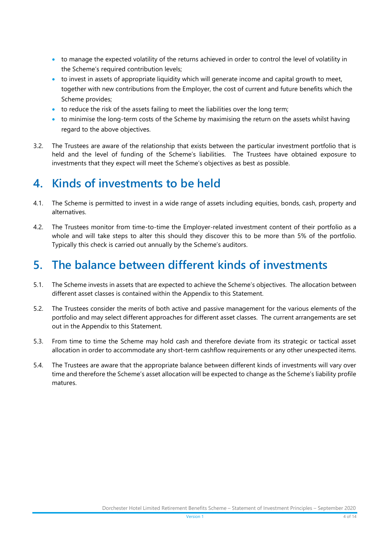- to manage the expected volatility of the returns achieved in order to control the level of volatility in the Scheme's required contribution levels;
- to invest in assets of appropriate liquidity which will generate income and capital growth to meet, together with new contributions from the Employer, the cost of current and future benefits which the Scheme provides;
- to reduce the risk of the assets failing to meet the liabilities over the long term;
- to minimise the long-term costs of the Scheme by maximising the return on the assets whilst having regard to the above objectives.
- 3.2. The Trustees are aware of the relationship that exists between the particular investment portfolio that is held and the level of funding of the Scheme's liabilities. The Trustees have obtained exposure to investments that they expect will meet the Scheme's objectives as best as possible.

## <span id="page-3-0"></span>**4. Kinds of investments to be held**

- 4.1. The Scheme is permitted to invest in a wide range of assets including equities, bonds, cash, property and alternatives.
- 4.2. The Trustees monitor from time-to-time the Employer-related investment content of their portfolio as a whole and will take steps to alter this should they discover this to be more than 5% of the portfolio. Typically this check is carried out annually by the Scheme's auditors.

# <span id="page-3-1"></span>**5. The balance between different kinds of investments**

- 5.1. The Scheme invests in assets that are expected to achieve the Scheme's objectives. The allocation between different asset classes is contained within the Appendix to this Statement.
- 5.2. The Trustees consider the merits of both active and passive management for the various elements of the portfolio and may select different approaches for different asset classes. The current arrangements are set out in the Appendix to this Statement.
- 5.3. From time to time the Scheme may hold cash and therefore deviate from its strategic or tactical asset allocation in order to accommodate any short-term cashflow requirements or any other unexpected items.
- 5.4. The Trustees are aware that the appropriate balance between different kinds of investments will vary over time and therefore the Scheme's asset allocation will be expected to change as the Scheme's liability profile matures.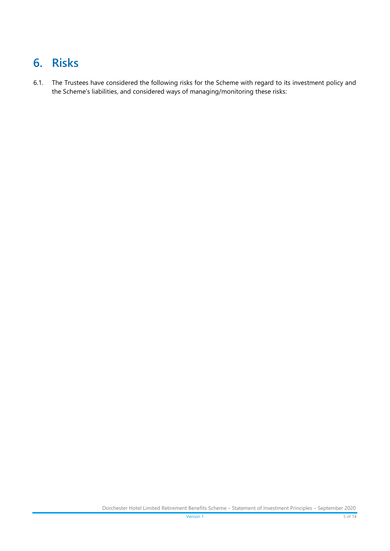# <span id="page-4-0"></span>**6. Risks**

6.1. The Trustees have considered the following risks for the Scheme with regard to its investment policy and the Scheme's liabilities, and considered ways of managing/monitoring these risks: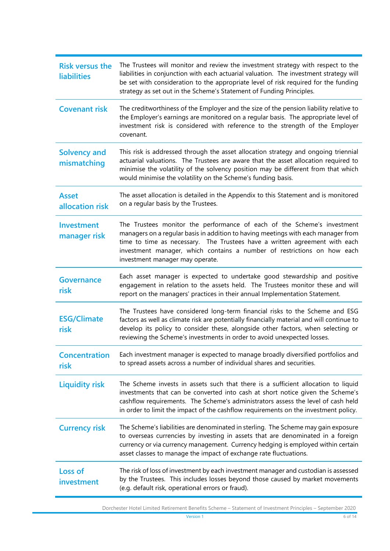| <b>Risk versus the</b><br><b>liabilities</b> | The Trustees will monitor and review the investment strategy with respect to the<br>liabilities in conjunction with each actuarial valuation. The investment strategy will<br>be set with consideration to the appropriate level of risk required for the funding<br>strategy as set out in the Scheme's Statement of Funding Principles.                |  |  |  |
|----------------------------------------------|----------------------------------------------------------------------------------------------------------------------------------------------------------------------------------------------------------------------------------------------------------------------------------------------------------------------------------------------------------|--|--|--|
| <b>Covenant risk</b>                         | The creditworthiness of the Employer and the size of the pension liability relative to<br>the Employer's earnings are monitored on a regular basis. The appropriate level of<br>investment risk is considered with reference to the strength of the Employer<br>covenant.                                                                                |  |  |  |
| <b>Solvency and</b><br>mismatching           | This risk is addressed through the asset allocation strategy and ongoing triennial<br>actuarial valuations. The Trustees are aware that the asset allocation required to<br>minimise the volatility of the solvency position may be different from that which<br>would minimise the volatility on the Scheme's funding basis.                            |  |  |  |
| <b>Asset</b><br>allocation risk              | The asset allocation is detailed in the Appendix to this Statement and is monitored<br>on a regular basis by the Trustees.                                                                                                                                                                                                                               |  |  |  |
| <b>Investment</b><br>manager risk            | The Trustees monitor the performance of each of the Scheme's investment<br>managers on a regular basis in addition to having meetings with each manager from<br>time to time as necessary. The Trustees have a written agreement with each<br>investment manager, which contains a number of restrictions on how each<br>investment manager may operate. |  |  |  |
| <b>Governance</b><br>risk                    | Each asset manager is expected to undertake good stewardship and positive<br>engagement in relation to the assets held. The Trustees monitor these and will<br>report on the managers' practices in their annual Implementation Statement.                                                                                                               |  |  |  |
| <b>ESG/Climate</b><br>risk                   | The Trustees have considered long-term financial risks to the Scheme and ESG<br>factors as well as climate risk are potentially financially material and will continue to<br>develop its policy to consider these, alongside other factors, when selecting or<br>reviewing the Scheme's investments in order to avoid unexpected losses.                 |  |  |  |
| <b>Concentration</b><br>risk                 | Each investment manager is expected to manage broadly diversified portfolios and<br>to spread assets across a number of individual shares and securities.                                                                                                                                                                                                |  |  |  |
| <b>Liquidity risk</b>                        | The Scheme invests in assets such that there is a sufficient allocation to liquid<br>investments that can be converted into cash at short notice given the Scheme's<br>cashflow requirements. The Scheme's administrators assess the level of cash held<br>in order to limit the impact of the cashflow requirements on the investment policy.           |  |  |  |
| <b>Currency risk</b>                         | The Scheme's liabilities are denominated in sterling. The Scheme may gain exposure<br>to overseas currencies by investing in assets that are denominated in a foreign<br>currency or via currency management. Currency hedging is employed within certain<br>asset classes to manage the impact of exchange rate fluctuations.                           |  |  |  |
| <b>Loss of</b><br>investment                 | The risk of loss of investment by each investment manager and custodian is assessed<br>by the Trustees. This includes losses beyond those caused by market movements<br>(e.g. default risk, operational errors or fraud).                                                                                                                                |  |  |  |

Dorchester Hotel Limited Retirement Benefits Scheme – Statement of Investment Principles – September 2020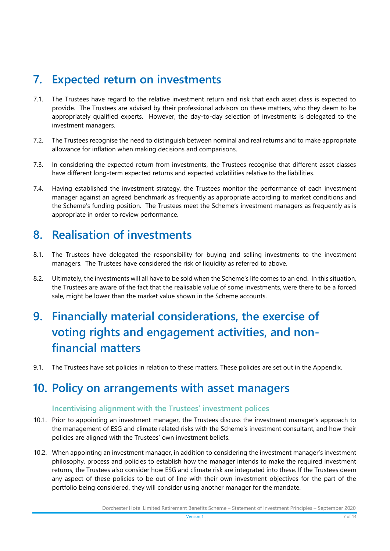### <span id="page-6-0"></span>**7. Expected return on investments**

- 7.1. The Trustees have regard to the relative investment return and risk that each asset class is expected to provide. The Trustees are advised by their professional advisors on these matters, who they deem to be appropriately qualified experts. However, the day-to-day selection of investments is delegated to the investment managers.
- 7.2. The Trustees recognise the need to distinguish between nominal and real returns and to make appropriate allowance for inflation when making decisions and comparisons.
- 7.3. In considering the expected return from investments, the Trustees recognise that different asset classes have different long-term expected returns and expected volatilities relative to the liabilities.
- 7.4. Having established the investment strategy, the Trustees monitor the performance of each investment manager against an agreed benchmark as frequently as appropriate according to market conditions and the Scheme's funding position. The Trustees meet the Scheme's investment managers as frequently as is appropriate in order to review performance.

### <span id="page-6-1"></span>**8. Realisation of investments**

- 8.1. The Trustees have delegated the responsibility for buying and selling investments to the investment managers. The Trustees have considered the risk of liquidity as referred to above.
- 8.2. Ultimately, the investments will all have to be sold when the Scheme's life comes to an end. In this situation, the Trustees are aware of the fact that the realisable value of some investments, were there to be a forced sale, might be lower than the market value shown in the Scheme accounts.

# <span id="page-6-2"></span>**9. Financially material considerations, the exercise of voting rights and engagement activities, and nonfinancial matters**

9.1. The Trustees have set policies in relation to these matters. These policies are set out in the Appendix.

# <span id="page-6-3"></span>**10. Policy on arrangements with asset managers**

#### **Incentivising alignment with the Trustees' investment polices**

- 10.1. Prior to appointing an investment manager, the Trustees discuss the investment manager's approach to the management of ESG and climate related risks with the Scheme's investment consultant, and how their policies are aligned with the Trustees' own investment beliefs.
- 10.2. When appointing an investment manager, in addition to considering the investment manager's investment philosophy, process and policies to establish how the manager intends to make the required investment returns, the Trustees also consider how ESG and climate risk are integrated into these. If the Trustees deem any aspect of these policies to be out of line with their own investment objectives for the part of the portfolio being considered, they will consider using another manager for the mandate.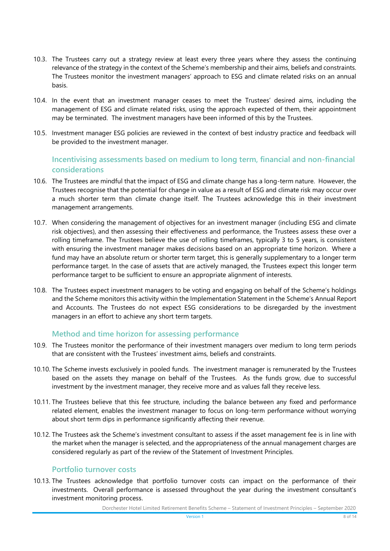- 10.3. The Trustees carry out a strategy review at least every three years where they assess the continuing relevance of the strategy in the context of the Scheme's membership and their aims, beliefs and constraints. The Trustees monitor the investment managers' approach to ESG and climate related risks on an annual basis.
- 10.4. In the event that an investment manager ceases to meet the Trustees' desired aims, including the management of ESG and climate related risks, using the approach expected of them, their appointment may be terminated. The investment managers have been informed of this by the Trustees.
- 10.5. Investment manager ESG policies are reviewed in the context of best industry practice and feedback will be provided to the investment manager.

#### **Incentivising assessments based on medium to long term, financial and non-financial considerations**

- 10.6. The Trustees are mindful that the impact of ESG and climate change has a long-term nature. However, the Trustees recognise that the potential for change in value as a result of ESG and climate risk may occur over a much shorter term than climate change itself. The Trustees acknowledge this in their investment management arrangements.
- 10.7. When considering the management of objectives for an investment manager (including ESG and climate risk objectives), and then assessing their effectiveness and performance, the Trustees assess these over a rolling timeframe. The Trustees believe the use of rolling timeframes, typically 3 to 5 years, is consistent with ensuring the investment manager makes decisions based on an appropriate time horizon. Where a fund may have an absolute return or shorter term target, this is generally supplementary to a longer term performance target. In the case of assets that are actively managed, the Trustees expect this longer term performance target to be sufficient to ensure an appropriate alignment of interests.
- 10.8. The Trustees expect investment managers to be voting and engaging on behalf of the Scheme's holdings and the Scheme monitors this activity within the Implementation Statement in the Scheme's Annual Report and Accounts. The Trustees do not expect ESG considerations to be disregarded by the investment managers in an effort to achieve any short term targets.

#### **Method and time horizon for assessing performance**

- 10.9. The Trustees monitor the performance of their investment managers over medium to long term periods that are consistent with the Trustees' investment aims, beliefs and constraints.
- 10.10. The Scheme invests exclusively in pooled funds. The investment manager is remunerated by the Trustees based on the assets they manage on behalf of the Trustees. As the funds grow, due to successful investment by the investment manager, they receive more and as values fall they receive less.
- 10.11. The Trustees believe that this fee structure, including the balance between any fixed and performance related element, enables the investment manager to focus on long-term performance without worrying about short term dips in performance significantly affecting their revenue.
- 10.12. The Trustees ask the Scheme's investment consultant to assess if the asset management fee is in line with the market when the manager is selected, and the appropriateness of the annual management charges are considered regularly as part of the review of the Statement of Investment Principles.

#### **Portfolio turnover costs**

10.13. The Trustees acknowledge that portfolio turnover costs can impact on the performance of their investments. Overall performance is assessed throughout the year during the investment consultant's investment monitoring process.

Dorchester Hotel Limited Retirement Benefits Scheme – Statement of Investment Principles – September 2020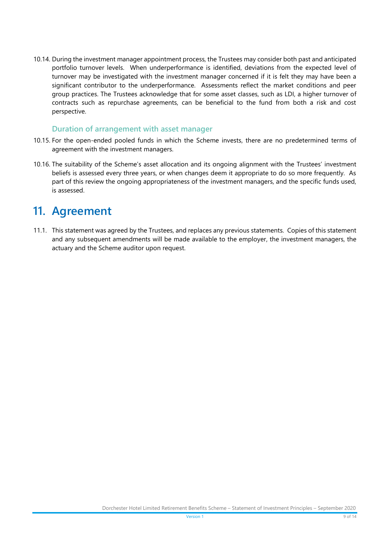10.14. During the investment manager appointment process, the Trustees may consider both past and anticipated portfolio turnover levels. When underperformance is identified, deviations from the expected level of turnover may be investigated with the investment manager concerned if it is felt they may have been a significant contributor to the underperformance. Assessments reflect the market conditions and peer group practices. The Trustees acknowledge that for some asset classes, such as LDI, a higher turnover of contracts such as repurchase agreements, can be beneficial to the fund from both a risk and cost perspective.

#### **Duration of arrangement with asset manager**

- 10.15. For the open-ended pooled funds in which the Scheme invests, there are no predetermined terms of agreement with the investment managers.
- 10.16. The suitability of the Scheme's asset allocation and its ongoing alignment with the Trustees' investment beliefs is assessed every three years, or when changes deem it appropriate to do so more frequently. As part of this review the ongoing appropriateness of the investment managers, and the specific funds used, is assessed.

### <span id="page-8-0"></span>**11. Agreement**

11.1. This statement was agreed by the Trustees, and replaces any previous statements. Copies of this statement and any subsequent amendments will be made available to the employer, the investment managers, the actuary and the Scheme auditor upon request.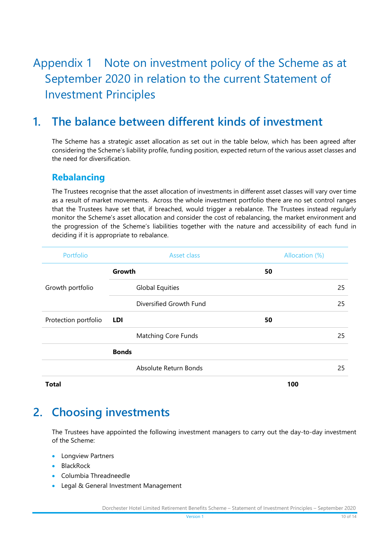# <span id="page-9-0"></span>Appendix 1 Note on investment policy of the Scheme as at September 2020 in relation to the current Statement of Investment Principles

### **1. The balance between different kinds of investment**

The Scheme has a strategic asset allocation as set out in the table below, which has been agreed after considering the Scheme's liability profile, funding position, expected return of the various asset classes and the need for diversification.

#### **Rebalancing**

The Trustees recognise that the asset allocation of investments in different asset classes will vary over time as a result of market movements. Across the whole investment portfolio there are no set control ranges that the Trustees have set that, if breached, would trigger a rebalance. The Trustees instead regularly monitor the Scheme's asset allocation and consider the cost of rebalancing, the market environment and the progression of the Scheme's liabilities together with the nature and accessibility of each fund in deciding if it is appropriate to rebalance.

| Portfolio            | Asset class                | Allocation (%) |
|----------------------|----------------------------|----------------|
|                      | Growth                     | 50             |
| Growth portfolio     | <b>Global Equities</b>     | 25             |
|                      | Diversified Growth Fund    | 25             |
| Protection portfolio | LDI                        | 50             |
|                      | <b>Matching Core Funds</b> | 25             |
|                      | <b>Bonds</b>               |                |
|                      | Absolute Return Bonds      | 25             |
| <b>Total</b>         |                            | 100            |

### **2. Choosing investments**

The Trustees have appointed the following investment managers to carry out the day-to-day investment of the Scheme:

- **•** Longview Partners
- BlackRock
- Columbia Threadneedle
- **Legal & General Investment Management**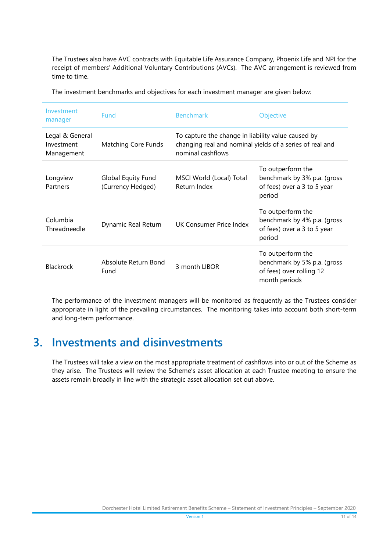The Trustees also have AVC contracts with Equitable Life Assurance Company, Phoenix Life and NPI for the receipt of members' Additional Voluntary Contributions (AVCs). The AVC arrangement is reviewed from time to time.

| Investment<br>manager                       | Fund                                    | <b>Benchmark</b>                                                                                                                    | Objective                                                                                     |
|---------------------------------------------|-----------------------------------------|-------------------------------------------------------------------------------------------------------------------------------------|-----------------------------------------------------------------------------------------------|
| Legal & General<br>Investment<br>Management | Matching Core Funds                     | To capture the change in liability value caused by<br>changing real and nominal yields of a series of real and<br>nominal cashflows |                                                                                               |
| Longview<br>Partners                        | Global Equity Fund<br>(Currency Hedged) | MSCI World (Local) Total<br>Return Index                                                                                            | To outperform the<br>benchmark by 3% p.a. (gross<br>of fees) over a 3 to 5 year<br>period     |
| Columbia<br>Threadneedle                    | Dynamic Real Return                     | UK Consumer Price Index                                                                                                             | To outperform the<br>benchmark by 4% p.a. (gross<br>of fees) over a 3 to 5 year<br>period     |
| <b>Blackrock</b>                            | Absolute Return Bond<br>Fund            | 3 month LIBOR                                                                                                                       | To outperform the<br>benchmark by 5% p.a. (gross<br>of fees) over rolling 12<br>month periods |

The investment benchmarks and objectives for each investment manager are given below:

The performance of the investment managers will be monitored as frequently as the Trustees consider appropriate in light of the prevailing circumstances. The monitoring takes into account both short-term and long-term performance.

### **3. Investments and disinvestments**

The Trustees will take a view on the most appropriate treatment of cashflows into or out of the Scheme as they arise. The Trustees will review the Scheme's asset allocation at each Trustee meeting to ensure the assets remain broadly in line with the strategic asset allocation set out above.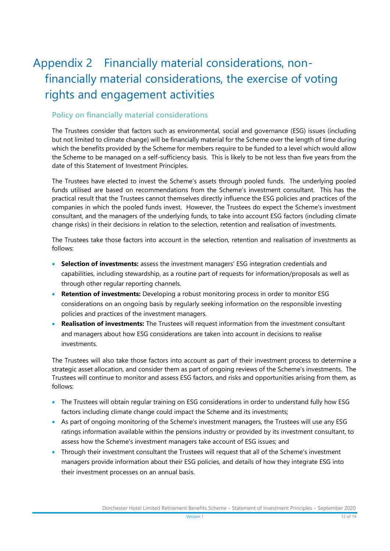# <span id="page-11-0"></span>Appendix 2 Financially material considerations, nonfinancially material considerations, the exercise of voting rights and engagement activities

#### **Policy on financially material considerations**

The Trustees consider that factors such as environmental, social and governance (ESG) issues (including but not limited to climate change) will be financially material for the Scheme over the length of time during which the benefits provided by the Scheme for members require to be funded to a level which would allow the Scheme to be managed on a self-sufficiency basis. This is likely to be not less than five years from the date of this Statement of Investment Principles.

The Trustees have elected to invest the Scheme's assets through pooled funds. The underlying pooled funds utilised are based on recommendations from the Scheme's investment consultant. This has the practical result that the Trustees cannot themselves directly influence the ESG policies and practices of the companies in which the pooled funds invest. However, the Trustees do expect the Scheme's investment consultant, and the managers of the underlying funds, to take into account ESG factors (including climate change risks) in their decisions in relation to the selection, retention and realisation of investments.

The Trustees take those factors into account in the selection, retention and realisation of investments as follows:

- **Selection of investments:** assess the investment managers' ESG integration credentials and capabilities, including stewardship, as a routine part of requests for information/proposals as well as through other regular reporting channels.
- **Retention of investments:** Developing a robust monitoring process in order to monitor ESG considerations on an ongoing basis by regularly seeking information on the responsible investing policies and practices of the investment managers.
- **Realisation of investments:** The Trustees will request information from the investment consultant and managers about how ESG considerations are taken into account in decisions to realise investments.

The Trustees will also take those factors into account as part of their investment process to determine a strategic asset allocation, and consider them as part of ongoing reviews of the Scheme's investments. The Trustees will continue to monitor and assess ESG factors, and risks and opportunities arising from them, as follows:

- The Trustees will obtain regular training on ESG considerations in order to understand fully how ESG factors including climate change could impact the Scheme and its investments;
- As part of ongoing monitoring of the Scheme's investment managers, the Trustees will use any ESG ratings information available within the pensions industry or provided by its investment consultant, to assess how the Scheme's investment managers take account of ESG issues; and
- Through their investment consultant the Trustees will request that all of the Scheme's investment managers provide information about their ESG policies, and details of how they integrate ESG into their investment processes on an annual basis.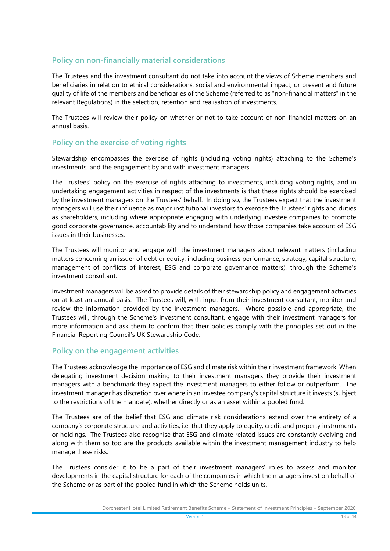#### **Policy on non-financially material considerations**

The Trustees and the investment consultant do not take into account the views of Scheme members and beneficiaries in relation to ethical considerations, social and environmental impact, or present and future quality of life of the members and beneficiaries of the Scheme (referred to as "non-financial matters" in the relevant Regulations) in the selection, retention and realisation of investments.

The Trustees will review their policy on whether or not to take account of non-financial matters on an annual basis.

#### **Policy on the exercise of voting rights**

Stewardship encompasses the exercise of rights (including voting rights) attaching to the Scheme's investments, and the engagement by and with investment managers.

The Trustees' policy on the exercise of rights attaching to investments, including voting rights, and in undertaking engagement activities in respect of the investments is that these rights should be exercised by the investment managers on the Trustees' behalf. In doing so, the Trustees expect that the investment managers will use their influence as major institutional investors to exercise the Trustees' rights and duties as shareholders, including where appropriate engaging with underlying investee companies to promote good corporate governance, accountability and to understand how those companies take account of ESG issues in their businesses.

The Trustees will monitor and engage with the investment managers about relevant matters (including matters concerning an issuer of debt or equity, including business performance, strategy, capital structure, management of conflicts of interest, ESG and corporate governance matters), through the Scheme's investment consultant.

Investment managers will be asked to provide details of their stewardship policy and engagement activities on at least an annual basis. The Trustees will, with input from their investment consultant, monitor and review the information provided by the investment managers. Where possible and appropriate, the Trustees will, through the Scheme's investment consultant, engage with their investment managers for more information and ask them to confirm that their policies comply with the principles set out in the Financial Reporting Council's UK Stewardship Code.

#### **Policy on the engagement activities**

The Trustees acknowledge the importance of ESG and climate risk within their investment framework. When delegating investment decision making to their investment managers they provide their investment managers with a benchmark they expect the investment managers to either follow or outperform. The investment manager has discretion over where in an investee company's capital structure it invests (subject to the restrictions of the mandate), whether directly or as an asset within a pooled fund.

The Trustees are of the belief that ESG and climate risk considerations extend over the entirety of a company's corporate structure and activities, i.e. that they apply to equity, credit and property instruments or holdings. The Trustees also recognise that ESG and climate related issues are constantly evolving and along with them so too are the products available within the investment management industry to help manage these risks.

The Trustees consider it to be a part of their investment managers' roles to assess and monitor developments in the capital structure for each of the companies in which the managers invest on behalf of the Scheme or as part of the pooled fund in which the Scheme holds units.